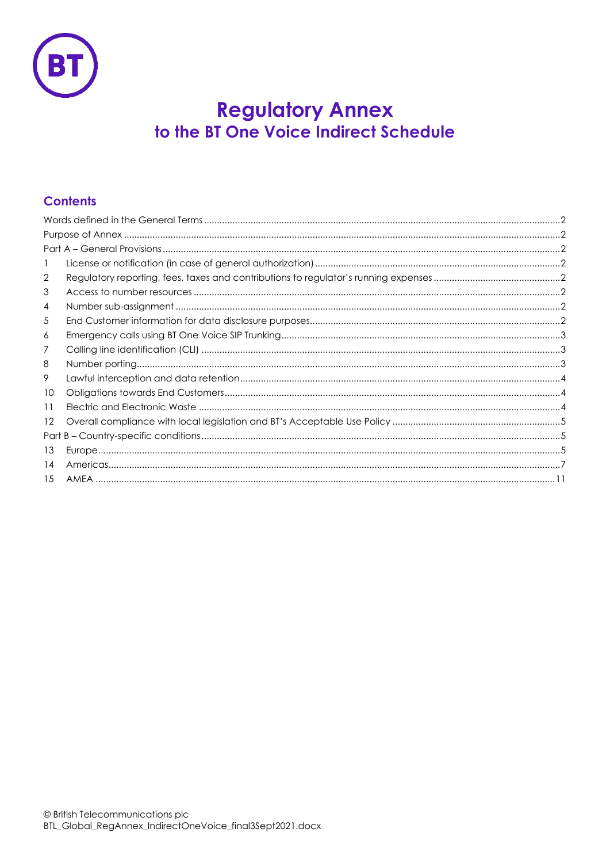

# **Regulatory Annex** to the BT One Voice Indirect Schedule

# **Contents**

| $\mathbf{I}$      |  |  |
|-------------------|--|--|
| 2                 |  |  |
| 3                 |  |  |
| 4                 |  |  |
| 5                 |  |  |
| 6                 |  |  |
| 7                 |  |  |
| 8                 |  |  |
| 9                 |  |  |
| 10                |  |  |
| 11                |  |  |
| $12 \overline{ }$ |  |  |
|                   |  |  |
| 13                |  |  |
| 14                |  |  |
|                   |  |  |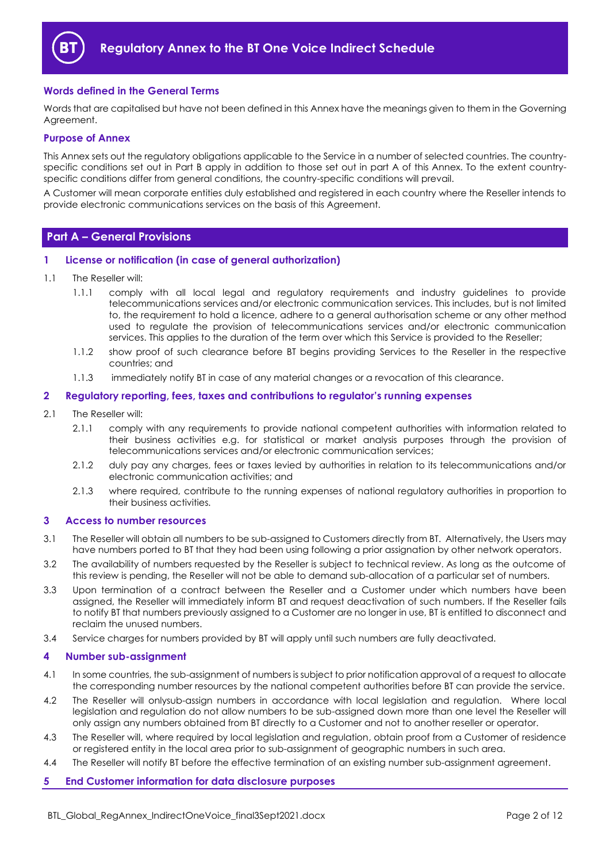

# <span id="page-1-0"></span>**Words defined in the General Terms**

Words that are capitalised but have not been defined in this Annex have the meanings given to them in the Governing Agreement.

## <span id="page-1-1"></span>**Purpose of Annex**

This Annex sets out the regulatory obligations applicable to the Service in a number of selected countries. The countryspecific conditions set out in Part B apply in addition to those set out in part A of this Annex. To the extent countryspecific conditions differ from general conditions, the country-specific conditions will prevail.

A Customer will mean corporate entities duly established and registered in each country where the Reseller intends to provide electronic communications services on the basis of this Agreement.

# <span id="page-1-2"></span>**Part A – General Provisions**

#### <span id="page-1-3"></span>**1 License or notification (in case of general authorization)**

- 1.1 The Reseller will:
	- 1.1.1 comply with all local legal and regulatory requirements and industry guidelines to provide telecommunications services and/or electronic communication services. This includes, but is not limited to, the requirement to hold a licence, adhere to a general authorisation scheme or any other method used to regulate the provision of telecommunications services and/or electronic communication services. This applies to the duration of the term over which this Service is provided to the Reseller;
	- 1.1.2 show proof of such clearance before BT begins providing Services to the Reseller in the respective countries; and
	- 1.1.3 immediately notify BT in case of any material changes or a revocation of this clearance.

#### <span id="page-1-4"></span>**2 Regulatory reporting, fees, taxes and contributions to regulator's running expenses**

- 2.1 The Reseller will:
	- 2.1.1 comply with any requirements to provide national competent authorities with information related to their business activities e.g. for statistical or market analysis purposes through the provision of telecommunications services and/or electronic communication services;
	- 2.1.2 duly pay any charges, fees or taxes levied by authorities in relation to its telecommunications and/or electronic communication activities; and
	- 2.1.3 where required, contribute to the running expenses of national regulatory authorities in proportion to their business activities.

#### <span id="page-1-5"></span>**3 Access to number resources**

- 3.1 The Reseller will obtain all numbers to be sub-assigned to Customers directly from BT. Alternatively, the Users may have numbers ported to BT that they had been using following a prior assignation by other network operators.
- 3.2 The availability of numbers requested by the Reseller is subject to technical review. As long as the outcome of this review is pending, the Reseller will not be able to demand sub-allocation of a particular set of numbers.
- 3.3 Upon termination of a contract between the Reseller and a Customer under which numbers have been assigned, the Reseller will immediately inform BT and request deactivation of such numbers. If the Reseller fails to notify BT that numbers previously assigned to a Customer are no longer in use, BT is entitled to disconnect and reclaim the unused numbers.
- 3.4 Service charges for numbers provided by BT will apply until such numbers are fully deactivated.

#### <span id="page-1-6"></span>**4 Number sub-assignment**

- 4.1 In some countries, the sub-assignment of numbers is subject to prior notification approval of a request to allocate the corresponding number resources by the national competent authorities before BT can provide the service.
- 4.2 The Reseller will onlysub-assign numbers in accordance with local legislation and regulation. Where local legislation and regulation do not allow numbers to be sub-assigned down more than one level the Reseller will only assign any numbers obtained from BT directly to a Customer and not to another reseller or operator.
- 4.3 The Reseller will, where required by local legislation and regulation, obtain proof from a Customer of residence or registered entity in the local area prior to sub-assignment of geographic numbers in such area.
- 4.4 The Reseller will notify BT before the effective termination of an existing number sub-assignment agreement.

#### <span id="page-1-7"></span>**5 End Customer information for data disclosure purposes**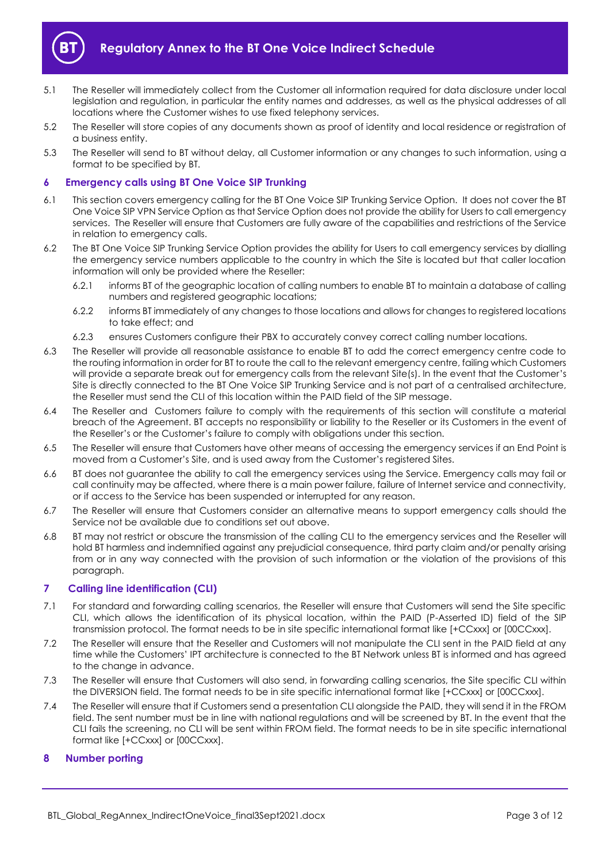

- 5.1 The Reseller will immediately collect from the Customer all information required for data disclosure under local legislation and regulation, in particular the entity names and addresses, as well as the physical addresses of all locations where the Customer wishes to use fixed telephony services.
- 5.2 The Reseller will store copies of any documents shown as proof of identity and local residence or registration of a business entity.
- 5.3 The Reseller will send to BT without delay, all Customer information or any changes to such information, using a format to be specified by BT.

# <span id="page-2-0"></span>**6 Emergency calls using BT One Voice SIP Trunking**

- 6.1 This section covers emergency calling for the BT One Voice SIP Trunking Service Option. It does not cover the BT One Voice SIP VPN Service Option as that Service Option does not provide the ability for Users to call emergency services. The Reseller will ensure that Customers are fully aware of the capabilities and restrictions of the Service in relation to emergency calls.
- 6.2 The BT One Voice SIP Trunking Service Option provides the ability for Users to call emergency services by dialling the emergency service numbers applicable to the country in which the Site is located but that caller location information will only be provided where the Reseller:
	- 6.2.1 informs BT of the geographic location of calling numbers to enable BT to maintain a database of calling numbers and registered geographic locations;
	- 6.2.2 informs BT immediately of any changes to those locations and allows for changes to registered locations to take effect; and
	- 6.2.3 ensures Customers configure their PBX to accurately convey correct calling number locations.
- 6.3 The Reseller will provide all reasonable assistance to enable BT to add the correct emergency centre code to the routing information in order for BT to route the call to the relevant emergency centre, failing which Customers will provide a separate break out for emergency calls from the relevant Site(s). In the event that the Customer's Site is directly connected to the BT One Voice SIP Trunking Service and is not part of a centralised architecture, the Reseller must send the CLI of this location within the PAID field of the SIP message.
- 6.4 The Reseller and Customers failure to comply with the requirements of this section will constitute a material breach of the Agreement. BT accepts no responsibility or liability to the Reseller or its Customers in the event of the Reseller's or the Customer's failure to comply with obligations under this section.
- 6.5 The Reseller will ensure that Customers have other means of accessing the emergency services if an End Point is moved from a Customer's Site, and is used away from the Customer's registered Sites.
- 6.6 BT does not guarantee the ability to call the emergency services using the Service. Emergency calls may fail or call continuity may be affected, where there is a main power failure, failure of Internet service and connectivity, or if access to the Service has been suspended or interrupted for any reason.
- 6.7 The Reseller will ensure that Customers consider an alternative means to support emergency calls should the Service not be available due to conditions set out above.
- 6.8 BT may not restrict or obscure the transmission of the calling CLI to the emergency services and the Reseller will hold BT harmless and indemnified against any prejudicial consequence, third party claim and/or penalty arising from or in any way connected with the provision of such information or the violation of the provisions of this paragraph.

# <span id="page-2-1"></span>**7 Calling line identification (CLI)**

- 7.1 For standard and forwarding calling scenarios, the Reseller will ensure that Customers will send the Site specific CLI, which allows the identification of its physical location, within the PAID (P-Asserted ID) field of the SIP transmission protocol. The format needs to be in site specific international format like [+CCxxx] or [00CCxxx].
- 7.2 The Reseller will ensure that the Reseller and Customers will not manipulate the CLI sent in the PAID field at any time while the Customers' IPT architecture is connected to the BT Network unless BT is informed and has agreed to the change in advance.
- 7.3 The Reseller will ensure that Customers will also send, in forwarding calling scenarios, the Site specific CLI within the DIVERSION field. The format needs to be in site specific international format like [+CCxxx] or [00CCxxx].
- 7.4 The Reseller will ensure that if Customers send a presentation CLI alongside the PAID, they will send it in the FROM field. The sent number must be in line with national regulations and will be screened by BT. In the event that the CLI fails the screening, no CLI will be sent within FROM field. The format needs to be in site specific international format like [+CCxxx] or [00CCxxx].

# <span id="page-2-2"></span>**8 Number porting**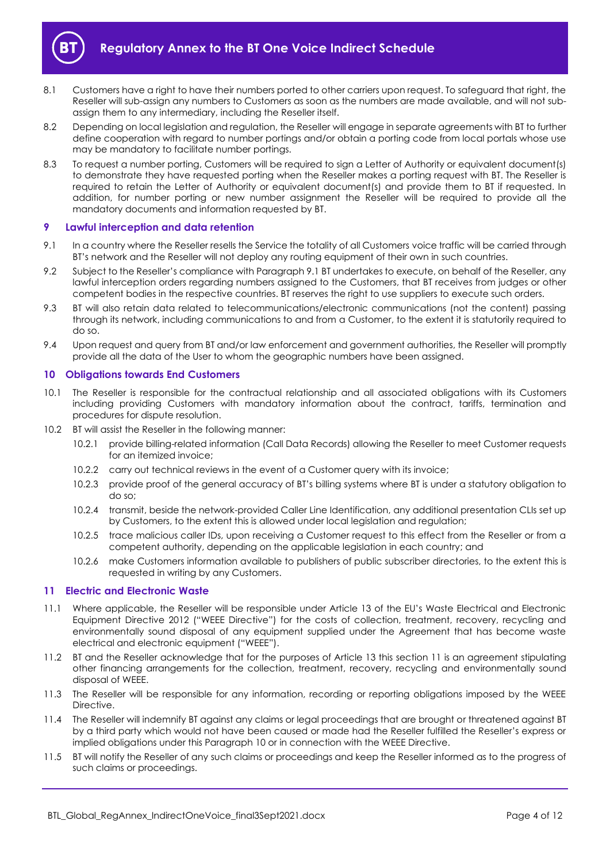

- 8.1 Customers have a right to have their numbers ported to other carriers upon request. To safeguard that right, the Reseller will sub-assign any numbers to Customers as soon as the numbers are made available, and will not subassign them to any intermediary, including the Reseller itself.
- 8.2 Depending on local legislation and regulation, the Reseller will engage in separate agreements with BT to further define cooperation with regard to number portings and/or obtain a porting code from local portals whose use may be mandatory to facilitate number portings.
- 8.3 To request a number porting, Customers will be required to sign a Letter of Authority or equivalent document(s) to demonstrate they have requested porting when the Reseller makes a porting request with BT. The Reseller is required to retain the Letter of Authority or equivalent document(s) and provide them to BT if requested. In addition, for number porting or new number assignment the Reseller will be required to provide all the mandatory documents and information requested by BT.

# <span id="page-3-0"></span>**9 Lawful interception and data retention**

- <span id="page-3-3"></span>9.1 In a country where the Reseller resells the Service the totality of all Customers voice traffic will be carried through BT's network and the Reseller will not deploy any routing equipment of their own in such countries.
- 9.2 Subject to the Reseller's compliance with Paragrap[h 9.1](#page-3-3) BT undertakes to execute, on behalf of the Reseller, any lawful interception orders regarding numbers assigned to the Customers, that BT receives from judges or other competent bodies in the respective countries. BT reserves the right to use suppliers to execute such orders.
- 9.3 BT will also retain data related to telecommunications/electronic communications (not the content) passing through its network, including communications to and from a Customer, to the extent it is statutorily required to do so.
- 9.4 Upon request and query from BT and/or law enforcement and government authorities, the Reseller will promptly provide all the data of the User to whom the geographic numbers have been assigned.

## <span id="page-3-1"></span>**10 Obligations towards End Customers**

- 10.1 The Reseller is responsible for the contractual relationship and all associated obligations with its Customers including providing Customers with mandatory information about the contract, tariffs, termination and procedures for dispute resolution.
- 10.2 BT will assist the Reseller in the following manner:
	- 10.2.1 provide billing-related information (Call Data Records) allowing the Reseller to meet Customer requests for an itemized invoice;
	- 10.2.2 carry out technical reviews in the event of a Customer query with its invoice;
	- 10.2.3 provide proof of the general accuracy of BT's billing systems where BT is under a statutory obligation to do so;
	- 10.2.4 transmit, beside the network-provided Caller Line Identification, any additional presentation CLIs set up by Customers, to the extent this is allowed under local legislation and regulation;
	- 10.2.5 trace malicious caller IDs, upon receiving a Customer request to this effect from the Reseller or from a competent authority, depending on the applicable legislation in each country; and
	- 10.2.6 make Customers information available to publishers of public subscriber directories, to the extent this is requested in writing by any Customers.

## <span id="page-3-2"></span>**11 Electric and Electronic Waste**

- 11.1 Where applicable, the Reseller will be responsible under Article 13 of the EU's Waste Electrical and Electronic Equipment Directive 2012 ("WEEE Directive") for the costs of collection, treatment, recovery, recycling and environmentally sound disposal of any equipment supplied under the Agreement that has become waste electrical and electronic equipment ("WEEE").
- 11.2 BT and the Reseller acknowledge that for the purposes of Article 13 this section [11](#page-3-2) is an agreement stipulating other financing arrangements for the collection, treatment, recovery, recycling and environmentally sound disposal of WEEE.
- 11.3 The Reseller will be responsible for any information, recording or reporting obligations imposed by the WEEE Directive.
- 11.4 The Reseller will indemnify BT against any claims or legal proceedings that are brought or threatened against BT by a third party which would not have been caused or made had the Reseller fulfilled the Reseller's express or implied obligations under this Paragraph 10 or in connection with the WEEE Directive.
- 11.5 BT will notify the Reseller of any such claims or proceedings and keep the Reseller informed as to the progress of such claims or proceedings.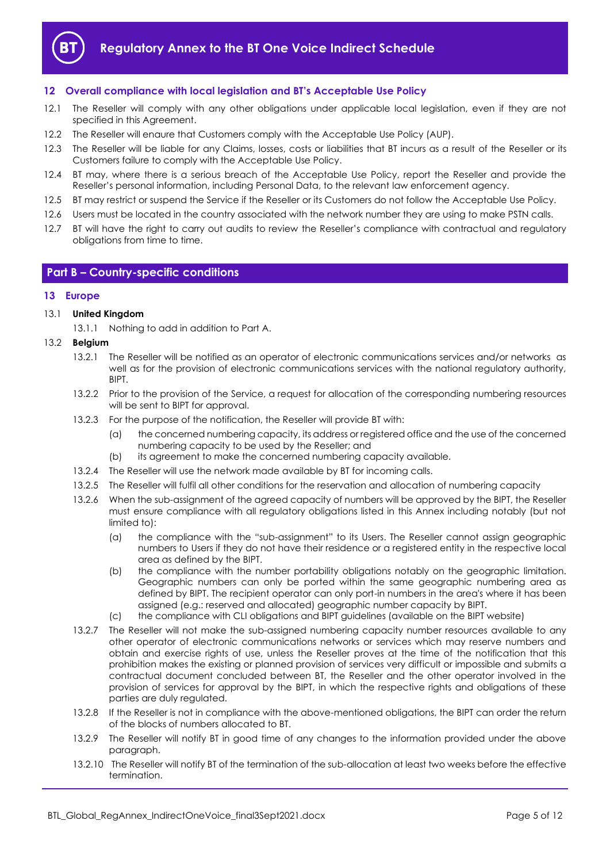

# <span id="page-4-0"></span>**12 Overall compliance with local legislation and BT's Acceptable Use Policy**

- 12.1 The Reseller will comply with any other obligations under applicable local legislation, even if they are not specified in this Agreement.
- 12.2 The Reseller will enaure that Customers comply with the Acceptable Use Policy (AUP).
- 12.3 The Reseller will be liable for any Claims, losses, costs or liabilities that BT incurs as a result of the Reseller or its Customers failure to comply with the Acceptable Use Policy.
- 12.4 BT may, where there is a serious breach of the Acceptable Use Policy, report the Reseller and provide the Reseller's personal information, including Personal Data, to the relevant law enforcement agency.
- 12.5 BT may restrict or suspend the Service if the Reseller or its Customers do not follow the Acceptable Use Policy.
- 12.6 Users must be located in the country associated with the network number they are using to make PSTN calls.
- 12.7 BT will have the right to carry out audits to review the Reseller's compliance with contractual and regulatory obligations from time to time.

## <span id="page-4-1"></span>**Part B – Country-specific conditions**

## <span id="page-4-2"></span>**13 Europe**

#### 13.1 **United Kingdom**

13.1.1 Nothing to add in addition to Part A.

- 13.2 **Belgium**
	- 13.2.1 The Reseller will be notified as an operator of electronic communications services and/or networks as well as for the provision of electronic communications services with the national regulatory authority, BIPT.
	- 13.2.2 Prior to the provision of the Service, a request for allocation of the corresponding numbering resources will be sent to BIPT for approval.
	- 13.2.3 For the purpose of the notification, the Reseller will provide BT with:
		- (a) the concerned numbering capacity, its address or registered office and the use of the concerned numbering capacity to be used by the Reseller; and
		- (b) its agreement to make the concerned numbering capacity available.
	- 13.2.4 The Reseller will use the network made available by BT for incoming calls.
	- 13.2.5 The Reseller will fulfil all other conditions for the reservation and allocation of numbering capacity
	- 13.2.6 When the sub-assignment of the agreed capacity of numbers will be approved by the BIPT, the Reseller must ensure compliance with all regulatory obligations listed in this Annex including notably (but not limited to):
		- (a) the compliance with the "sub-assignment" to its Users. The Reseller cannot assign geographic numbers to Users if they do not have their residence or a registered entity in the respective local area as defined by the BIPT.
		- (b) the compliance with the number portability obligations notably on the geographic limitation. Geographic numbers can only be ported within the same geographic numbering area as defined by BIPT. The recipient operator can only port-in numbers in the area's where it has been assigned (e.g.: reserved and allocated) geographic number capacity by BIPT.
		- (c) the compliance with CLI obligations and BIPT guidelines (available on the BIPT website)
	- 13.2.7 The Reseller will not make the sub-assigned numbering capacity number resources available to any other operator of electronic communications networks or services which may reserve numbers and obtain and exercise rights of use, unless the Reseller proves at the time of the notification that this prohibition makes the existing or planned provision of services very difficult or impossible and submits a contractual document concluded between BT, the Reseller and the other operator involved in the provision of services for approval by the BIPT, in which the respective rights and obligations of these parties are duly regulated.
	- 13.2.8 If the Reseller is not in compliance with the above-mentioned obligations, the BIPT can order the return of the blocks of numbers allocated to BT.
	- 13.2.9 The Reseller will notify BT in good time of any changes to the information provided under the above paragraph.
	- 13.2.10 The Reseller will notify BT of the termination of the sub-allocation at least two weeks before the effective termination.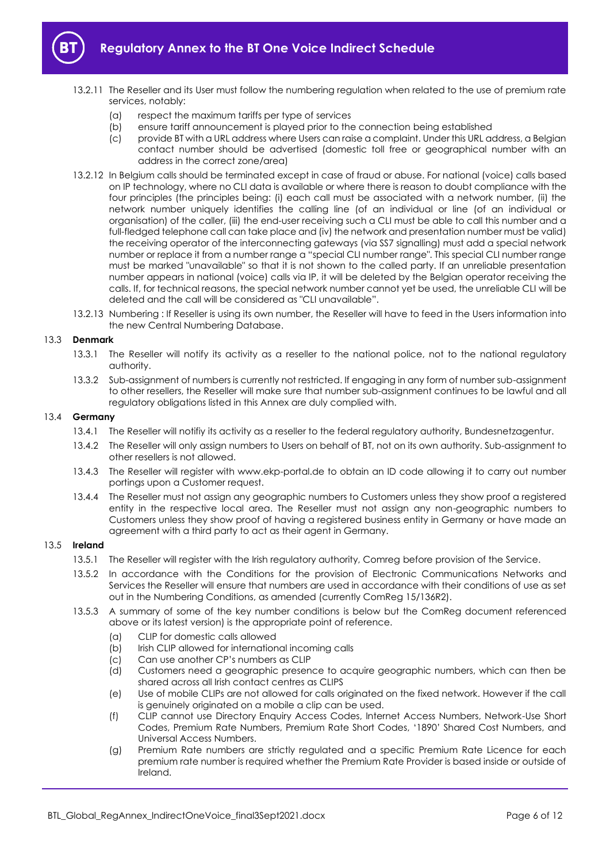

- - 13.2.11 The Reseller and its User must follow the numbering regulation when related to the use of premium rate services, notably:
		- (a) respect the maximum tariffs per type of services
		- (b) ensure tariff announcement is played prior to the connection being established
		- (c) provide BT with a URL address where Users can raise a complaint. Under this URL address, a Belgian contact number should be advertised (domestic toll free or geographical number with an address in the correct zone/area)
	- 13.2.12 In Belgium calls should be terminated except in case of fraud or abuse. For national (voice) calls based on IP technology, where no CLI data is available or where there is reason to doubt compliance with the four principles (the principles being: (i) each call must be associated with a network number, (ii) the network number uniquely identifies the calling line (of an individual or line (of an individual or organisation) of the caller, (iii) the end-user receiving such a CLI must be able to call this number and a full-fledged telephone call can take place and (iv) the network and presentation number must be valid) the receiving operator of the interconnecting gateways (via SS7 signalling) must add a special network number or replace it from a number range a "special CLI number range". This special CLI number range must be marked "unavailable" so that it is not shown to the called party. If an unreliable presentation number appears in national (voice) calls via IP, it will be deleted by the Belgian operator receiving the calls. If, for technical reasons, the special network number cannot yet be used, the unreliable CLI will be deleted and the call will be considered as "CLI unavailable".
	- 13.2.13 Numbering : If Reseller is using its own number, the Reseller will have to feed in the Users information into the new Central Numbering Database.

#### 13.3 **Denmark**

- 13.3.1 The Reseller will notify its activity as a reseller to the national police, not to the national regulatory authority.
- 13.3.2 Sub-assignment of numbers is currently not restricted. If engaging in any form of number sub-assignment to other resellers, the Reseller will make sure that number sub-assignment continues to be lawful and all regulatory obligations listed in this Annex are duly complied with.

#### 13.4 **Germany**

- 13.4.1 The Reseller will notifiy its activity as a reseller to the federal regulatory authority, Bundesnetzagentur.
- 13.4.2 The Reseller will only assign numbers to Users on behalf of BT, not on its own authority. Sub-assignment to other resellers is not allowed.
- 13.4.3 The Reseller will register with www.ekp-portal.de to obtain an ID code allowing it to carry out number portings upon a Customer request.
- 13.4.4 The Reseller must not assign any geographic numbers to Customers unless they show proof a registered entity in the respective local area. The Reseller must not assign any non-geographic numbers to Customers unless they show proof of having a registered business entity in Germany or have made an agreement with a third party to act as their agent in Germany.

# 13.5 **Ireland**

- 13.5.1 The Reseller will register with the Irish regulatory authority, Comreg before provision of the Service.
- 13.5.2 In accordance with the Conditions for the provision of Electronic Communications Networks and Services the Reseller will ensure that numbers are used in accordance with their conditions of use as set out in the Numbering Conditions, as amended (currently ComReg 15/136R2).
- 13.5.3 A summary of some of the key number conditions is below but the ComReg document referenced above or its latest version) is the appropriate point of reference.
	- (a) CLIP for domestic calls allowed
	- (b) Irish CLIP allowed for international incoming calls
	- (c) Can use another CP's numbers as CLIP
	- (d) Customers need a geographic presence to acquire geographic numbers, which can then be shared across all Irish contact centres as CLIPS
	- (e) Use of mobile CLIPs are not allowed for calls originated on the fixed network. However if the call is genuinely originated on a mobile a clip can be used.
	- (f) CLIP cannot use Directory Enquiry Access Codes, Internet Access Numbers, Network-Use Short Codes, Premium Rate Numbers, Premium Rate Short Codes, '1890' Shared Cost Numbers, and Universal Access Numbers.
	- (g) Premium Rate numbers are strictly regulated and a specific Premium Rate Licence for each premium rate number is required whether the Premium Rate Provider is based inside or outside of Ireland.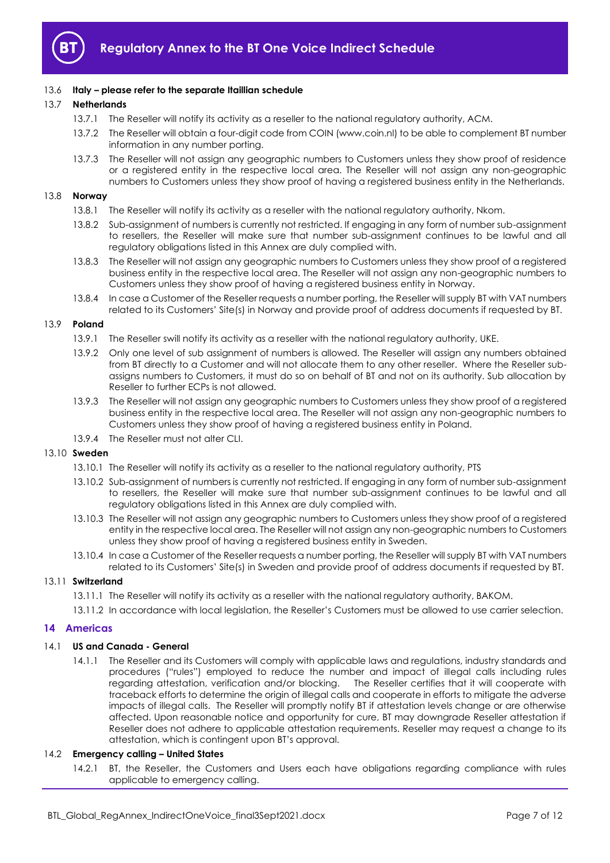

# 13.6 **Italy – please refer to the separate Itaillian schedule**

# 13.7 **Netherlands**

- 13.7.1 The Reseller will notify its activity as a reseller to the national regulatory authority, ACM.
- 13.7.2 The Reseller will obtain a four-digit code from COIN (www.coin.nl) to be able to complement BT number information in any number porting.
- 13.7.3 The Reseller will not assign any geographic numbers to Customers unless they show proof of residence or a registered entity in the respective local area. The Reseller will not assign any non-geographic numbers to Customers unless they show proof of having a registered business entity in the Netherlands.

# 13.8 **Norway**

- 13.8.1 The Reseller will notify its activity as a reseller with the national regulatory authority, Nkom.
- 13.8.2 Sub-assignment of numbers is currently not restricted. If engaging in any form of number sub-assignment to resellers, the Reseller will make sure that number sub-assignment continues to be lawful and all regulatory obligations listed in this Annex are duly complied with.
- 13.8.3 The Reseller will not assign any geographic numbers to Customers unless they show proof of a registered business entity in the respective local area. The Reseller will not assign any non-geographic numbers to Customers unless they show proof of having a registered business entity in Norway.
- 13.8.4 In case a Customer of the Reseller requests a number porting, the Reseller will supply BT with VAT numbers related to its Customers' Site(s) in Norway and provide proof of address documents if requested by BT.

## 13.9 **Poland**

- 13.9.1 The Reseller swill notify its activity as a reseller with the national regulatory authority, UKE.
- 13.9.2 Only one level of sub assignment of numbers is allowed. The Reseller will assign any numbers obtained from BT directly to a Customer and will not allocate them to any other reseller. Where the Reseller subassigns numbers to Customers, it must do so on behalf of BT and not on its authority. Sub allocation by Reseller to further ECPs is not allowed.
- 13.9.3 The Reseller will not assign any geographic numbers to Customers unless they show proof of a registered business entity in the respective local area. The Reseller will not assign any non-geographic numbers to Customers unless they show proof of having a registered business entity in Poland.
- 13.9.4 The Reseller must not alter CLI.

# 13.10 **Sweden**

- 13.10.1 The Reseller will notify its activity as a reseller to the national regulatory authority, PTS
- 13.10.2 Sub-assignment of numbers is currently not restricted. If engaging in any form of number sub-assignment to resellers, the Reseller will make sure that number sub-assignment continues to be lawful and all regulatory obligations listed in this Annex are duly complied with.
- 13.10.3 The Reseller will not assign any geographic numbers to Customers unless they show proof of a registered entity in the respective local area. The Reseller will not assign any non-geographic numbers to Customers unless they show proof of having a registered business entity in Sweden.
- 13.10.4 In case a Customer of the Reseller requests a number porting, the Reseller will supply BT with VAT numbers related to its Customers' Site(s) in Sweden and provide proof of address documents if requested by BT.

## 13.11 **Switzerland**

- 13.11.1 The Reseller will notify its activity as a reseller with the national regulatory authority, BAKOM.
- 13.11.2 In accordance with local legislation, the Reseller's Customers must be allowed to use carrier selection.

# <span id="page-6-0"></span>**14 Americas**

# 14.1 **US and Canada - General**

14.1.1 The Reseller and its Customers will comply with applicable laws and regulations, industry standards and procedures ("rules") employed to reduce the number and impact of illegal calls including rules regarding attestation, verification and/or blocking. The Reseller certifies that it will cooperate with traceback efforts to determine the origin of illegal calls and cooperate in efforts to mitigate the adverse impacts of illegal calls. The Reseller will promptly notify BT if attestation levels change or are otherwise affected. Upon reasonable notice and opportunity for cure, BT may downgrade Reseller attestation if Reseller does not adhere to applicable attestation requirements. Reseller may request a change to its attestation, which is contingent upon BT's approval.

# 14.2 **Emergency calling – United States**

14.2.1 BT, the Reseller, the Customers and Users each have obligations regarding compliance with rules applicable to emergency calling.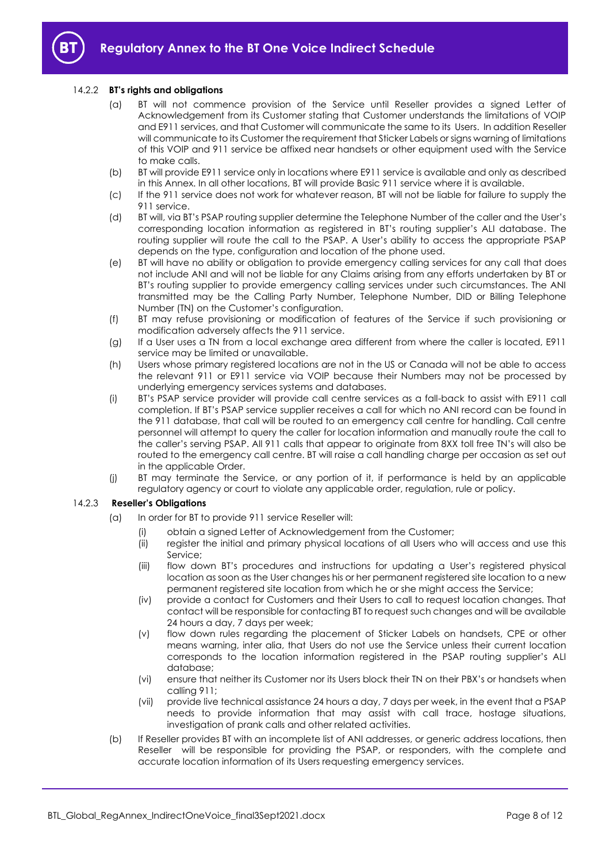

# 14.2.2 **BT's rights and obligations**

- (a) BT will not commence provision of the Service until Reseller provides a signed Letter of Acknowledgement from its Customer stating that Customer understands the limitations of VOIP and E911 services, and that Customer will communicate the same to its Users. In addition Reseller will communicate to its Customer the requirement that Sticker Labels or signs warning of limitations of this VOIP and 911 service be affixed near handsets or other equipment used with the Service to make calls.
- (b) BT will provide E911 service only in locations where E911 service is available and only as described in this Annex. In all other locations, BT will provide Basic 911 service where it is available.
- (c) If the 911 service does not work for whatever reason, BT will not be liable for failure to supply the 911 service.
- (d) BT will, via BT's PSAP routing supplier determine the Telephone Number of the caller and the User's corresponding location information as registered in BT's routing supplier's ALI database. The routing supplier will route the call to the PSAP. A User's ability to access the appropriate PSAP depends on the type, configuration and location of the phone used.
- (e) BT will have no ability or obligation to provide emergency calling services for any call that does not include ANI and will not be liable for any Claims arising from any efforts undertaken by BT or BT's routing supplier to provide emergency calling services under such circumstances. The ANI transmitted may be the Calling Party Number, Telephone Number, DID or Billing Telephone Number (TN) on the Customer's configuration.
- (f) BT may refuse provisioning or modification of features of the Service if such provisioning or modification adversely affects the 911 service.
- (g) If a User uses a TN from a local exchange area different from where the caller is located, E911 service may be limited or unavailable.
- (h) Users whose primary registered locations are not in the US or Canada will not be able to access the relevant 911 or E911 service via VOIP because their Numbers may not be processed by underlying emergency services systems and databases.
- (i) BT's PSAP service provider will provide call centre services as a fall-back to assist with E911 call completion. If BT's PSAP service supplier receives a call for which no ANI record can be found in the 911 database, that call will be routed to an emergency call centre for handling. Call centre personnel will attempt to query the caller for location information and manually route the call to the caller's serving PSAP. All 911 calls that appear to originate from 8XX toll free TN's will also be routed to the emergency call centre. BT will raise a call handling charge per occasion as set out in the applicable Order.
- (j) BT may terminate the Service, or any portion of it, if performance is held by an applicable regulatory agency or court to violate any applicable order, regulation, rule or policy.

# 14.2.3 **Reseller's Obligations**

- (a) In order for BT to provide 911 service Reseller will:
	- (i) obtain a signed Letter of Acknowledgement from the Customer;
	- (ii) register the initial and primary physical locations of all Users who will access and use this Service;
	- (iii) flow down BT's procedures and instructions for updating a User's registered physical location as soon as the User changes his or her permanent registered site location to a new permanent registered site location from which he or she might access the Service;
	- (iv) provide a contact for Customers and their Users to call to request location changes. That contact will be responsible for contacting BT to request such changes and will be available 24 hours a day, 7 days per week;
	- (v) flow down rules regarding the placement of Sticker Labels on handsets, CPE or other means warning, inter alia, that Users do not use the Service unless their current location corresponds to the location information registered in the PSAP routing supplier's ALI database;
	- (vi) ensure that neither its Customer nor its Users block their TN on their PBX's or handsets when calling 911;
	- (vii) provide live technical assistance 24 hours a day, 7 days per week, in the event that a PSAP needs to provide information that may assist with call trace, hostage situations, investigation of prank calls and other related activities.
- (b) If Reseller provides BT with an incomplete list of ANI addresses, or generic address locations, then Reseller will be responsible for providing the PSAP, or responders, with the complete and accurate location information of its Users requesting emergency services.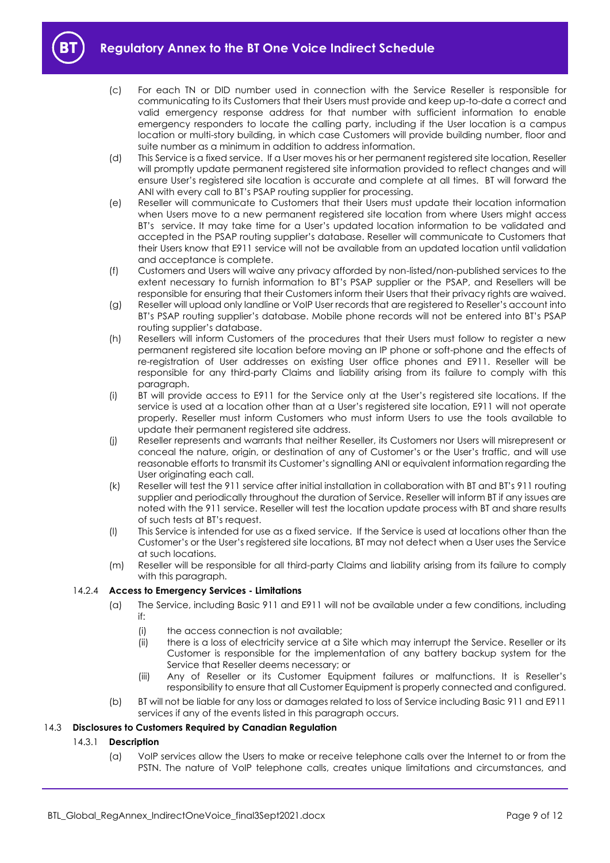

- (c) For each TN or DID number used in connection with the Service Reseller is responsible for communicating to its Customers that their Users must provide and keep up-to-date a correct and valid emergency response address for that number with sufficient information to enable emergency responders to locate the calling party, including if the User location is a campus location or multi-story building, in which case Customers will provide building number, floor and suite number as a minimum in addition to address information.
- (d) This Service is a fixed service. If a User moves his or her permanent registered site location, Reseller will promptly update permanent registered site information provided to reflect changes and will ensure User's registered site location is accurate and complete at all times. BT will forward the ANI with every call to BT's PSAP routing supplier for processing.
- (e) Reseller will communicate to Customers that their Users must update their location information when Users move to a new permanent registered site location from where Users might access BT's service. It may take time for a User's updated location information to be validated and accepted in the PSAP routing supplier's database. Reseller will communicate to Customers that their Users know that E911 service will not be available from an updated location until validation and acceptance is complete.
- (f) Customers and Users will waive any privacy afforded by non-listed/non-published services to the extent necessary to furnish information to BT's PSAP supplier or the PSAP, and Resellers will be responsible for ensuring that their Customers inform their Users that their privacy rights are waived.
- (g) Reseller will upload only landline or VoIP User records that are registered to Reseller's account into BT's PSAP routing supplier's database. Mobile phone records will not be entered into BT's PSAP routing supplier's database.
- (h) Resellers will inform Customers of the procedures that their Users must follow to register a new permanent registered site location before moving an IP phone or soft-phone and the effects of re-registration of User addresses on existing User office phones and E911. Reseller will be responsible for any third-party Claims and liability arising from its failure to comply with this paragraph.
- (i) BT will provide access to E911 for the Service only at the User's registered site locations. If the service is used at a location other than at a User's registered site location, E911 will not operate properly. Reseller must inform Customers who must inform Users to use the tools available to update their permanent registered site address.
- (j) Reseller represents and warrants that neither Reseller, its Customers nor Users will misrepresent or conceal the nature, origin, or destination of any of Customer's or the User's traffic, and will use reasonable efforts to transmit its Customer's signalling ANI or equivalent information regarding the User originating each call.
- (k) Reseller will test the 911 service after initial installation in collaboration with BT and BT's 911 routing supplier and periodically throughout the duration of Service. Reseller will inform BT if any issues are noted with the 911 service. Reseller will test the location update process with BT and share results of such tests at BT's request.
- (l) This Service is intended for use as a fixed service. If the Service is used at locations other than the Customer's or the User's registered site locations, BT may not detect when a User uses the Service at such locations.
- (m) Reseller will be responsible for all third-party Claims and liability arising from its failure to comply with this paragraph.

# 14.2.4 **Access to Emergency Services - Limitations**

- (a) The Service, including Basic 911 and E911 will not be available under a few conditions, including if:
	- (i) the access connection is not available;
	- (ii) there is a loss of electricity service at a Site which may interrupt the Service. Reseller or its Customer is responsible for the implementation of any battery backup system for the Service that Reseller deems necessary; or
	- (iii) Any of Reseller or its Customer Equipment failures or malfunctions. It is Reseller's responsibility to ensure that all Customer Equipment is properly connected and configured.
- (b) BT will not be liable for any loss or damages related to loss of Service including Basic 911 and E911 services if any of the events listed in this paragraph occurs.

# 14.3 **Disclosures to Customers Required by Canadian Regulation**

# 14.3.1 **Description**

(a) VoIP services allow the Users to make or receive telephone calls over the Internet to or from the PSTN. The nature of VoIP telephone calls, creates unique limitations and circumstances, and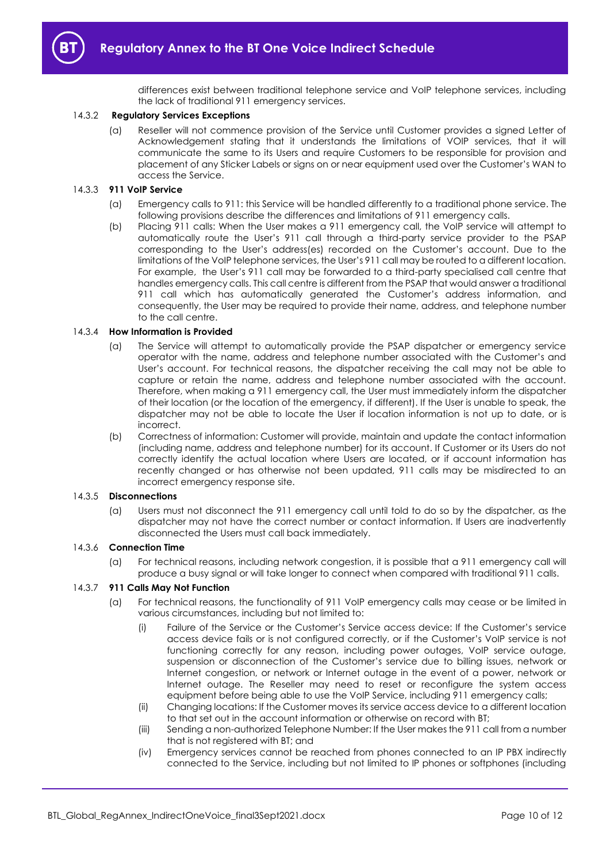differences exist between traditional telephone service and VoIP telephone services, including the lack of traditional 911 emergency services.

#### 14.3.2 **Regulatory Services Exceptions**

(a) Reseller will not commence provision of the Service until Customer provides a signed Letter of Acknowledgement stating that it understands the limitations of VOIP services, that it will communicate the same to its Users and require Customers to be responsible for provision and placement of any Sticker Labels or signs on or near equipment used over the Customer's WAN to access the Service.

#### 14.3.3 **911 VoIP Service**

- (a) Emergency calls to 911: this Service will be handled differently to a traditional phone service. The following provisions describe the differences and limitations of 911 emergency calls.
- (b) Placing 911 calls: When the User makes a 911 emergency call, the VoIP service will attempt to automatically route the User's 911 call through a third-party service provider to the PSAP corresponding to the User's address(es) recorded on the Customer's account. Due to the limitations of the VoIP telephone services, the User's 911 call may be routed to a different location. For example, the User's 911 call may be forwarded to a third-party specialised call centre that handles emergency calls. This call centre is different from the PSAP that would answer a traditional 911 call which has automatically generated the Customer's address information, and consequently, the User may be required to provide their name, address, and telephone number to the call centre.

#### 14.3.4 **How Information is Provided**

- (a) The Service will attempt to automatically provide the PSAP dispatcher or emergency service operator with the name, address and telephone number associated with the Customer's and User's account. For technical reasons, the dispatcher receiving the call may not be able to capture or retain the name, address and telephone number associated with the account. Therefore, when making a 911 emergency call, the User must immediately inform the dispatcher of their location (or the location of the emergency, if different). If the User is unable to speak, the dispatcher may not be able to locate the User if location information is not up to date, or is incorrect.
- (b) Correctness of information: Customer will provide, maintain and update the contact information (including name, address and telephone number) for its account. If Customer or its Users do not correctly identify the actual location where Users are located, or if account information has recently changed or has otherwise not been updated, 911 calls may be misdirected to an incorrect emergency response site.

#### 14.3.5 **Disconnections**

(a) Users must not disconnect the 911 emergency call until told to do so by the dispatcher, as the dispatcher may not have the correct number or contact information. If Users are inadvertently disconnected the Users must call back immediately.

# 14.3.6 **Connection Time**

(a) For technical reasons, including network congestion, it is possible that a 911 emergency call will produce a busy signal or will take longer to connect when compared with traditional 911 calls.

#### 14.3.7 **911 Calls May Not Function**

- (a) For technical reasons, the functionality of 911 VoIP emergency calls may cease or be limited in various circumstances, including but not limited to:
	- (i) Failure of the Service or the Customer's Service access device: If the Customer's service access device fails or is not configured correctly, or if the Customer's VoIP service is not functioning correctly for any reason, including power outages, VoIP service outage, suspension or disconnection of the Customer's service due to billing issues, network or Internet congestion, or network or Internet outage in the event of a power, network or Internet outage. The Reseller may need to reset or reconfigure the system access equipment before being able to use the VoIP Service, including 911 emergency calls;
	- (ii) Changing locations: If the Customer moves its service access device to a different location to that set out in the account information or otherwise on record with BT;
	- (iii) Sending a non-authorized Telephone Number: If the User makes the 911 call from a number that is not registered with BT; and
	- (iv) Emergency services cannot be reached from phones connected to an IP PBX indirectly connected to the Service, including but not limited to IP phones or softphones (including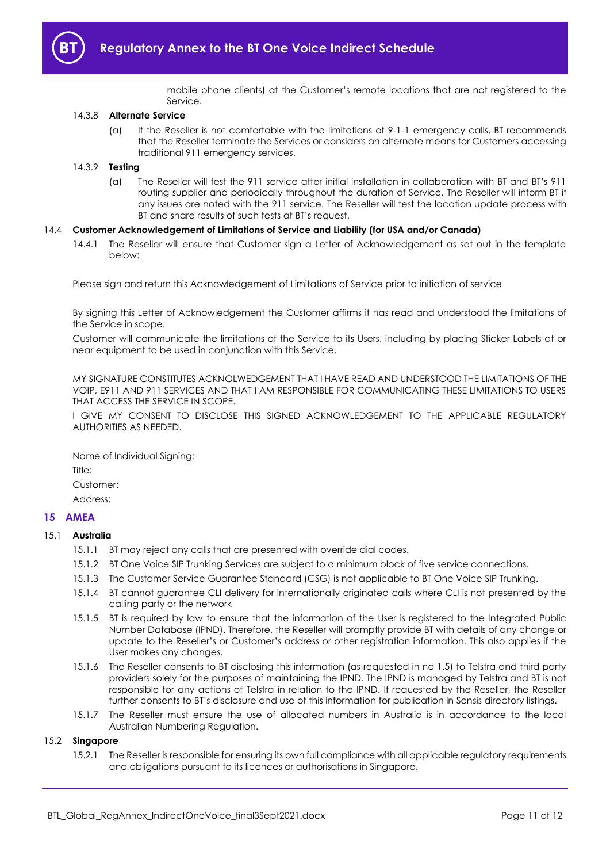

mobile phone clients) at the Customer's remote locations that are not registered to the Service.

#### 14.3.8 **Alternate Service**

(a) If the Reseller is not comfortable with the limitations of 9-1-1 emergency calls, BT recommends that the Reseller terminate the Services or considers an alternate means for Customers accessing traditional 911 emergency services.

## 14.3.9 **Testing**

(a) The Reseller will test the 911 service after initial installation in collaboration with BT and BT's 911 routing supplier and periodically throughout the duration of Service. The Reseller will inform BT if any issues are noted with the 911 service. The Reseller will test the location update process with BT and share results of such tests at BT's request.

#### 14.4 **Customer Acknowledgement of Limitations of Service and Liability (for USA and/or Canada)**

14.4.1 The Reseller will ensure that Customer sign a Letter of Acknowledgement as set out in the template below:

Please sign and return this Acknowledgement of Limitations of Service prior to initiation of service

By signing this Letter of Acknowledgement the Customer affirms it has read and understood the limitations of the Service in scope.

Customer will communicate the limitations of the Service to its Users, including by placing Sticker Labels at or near equipment to be used in conjunction with this Service.

MY SIGNATURE CONSTITUTES ACKNOLWEDGEMENT THAT I HAVE READ AND UNDERSTOOD THE LIMITATIONS OF THE VOIP, E911 AND 911 SERVICES AND THAT I AM RESPONSIBLE FOR COMMUNICATING THESE LIMITATIONS TO USERS THAT ACCESS THE SERVICE IN SCOPE.

I GIVE MY CONSENT TO DISCLOSE THIS SIGNED ACKNOWLEDGEMENT TO THE APPLICABLE REGULATORY AUTHORITIES AS NEEDED.

Name of Individual Signing: Title<sup>.</sup> Customer: Address:

# <span id="page-10-0"></span>**15 AMEA**

#### 15.1 **Australia**

- 15.1.1 BT may reject any calls that are presented with override dial codes.
- 15.1.2 BT One Voice SIP Trunking Services are subject to a minimum block of five service connections.
- 15.1.3 The Customer Service Guarantee Standard (CSG) is not applicable to BT One Voice SIP Trunking.
- 15.1.4 BT cannot guarantee CLI delivery for internationally originated calls where CLI is not presented by the calling party or the network
- 15.1.5 BT is required by law to ensure that the information of the User is registered to the Integrated Public Number Database (IPND). Therefore, the Reseller will promptly provide BT with details of any change or update to the Reseller's or Customer's address or other registration information. This also applies if the User makes any changes.
- 15.1.6 The Reseller consents to BT disclosing this information (as requested in no 1.5) to Telstra and third party providers solely for the purposes of maintaining the IPND. The IPND is managed by Telstra and BT is not responsible for any actions of Telstra in relation to the IPND. If requested by the Reseller, the Reseller further consents to BT's disclosure and use of this information for publication in Sensis directory listings.
- 15.1.7 The Reseller must ensure the use of allocated numbers in Australia is in accordance to the local Australian Numbering Regulation.

# 15.2 **Singapore**

15.2.1 The Reseller is responsible for ensuring its own full compliance with all applicable regulatory requirements and obligations pursuant to its licences or authorisations in Singapore.